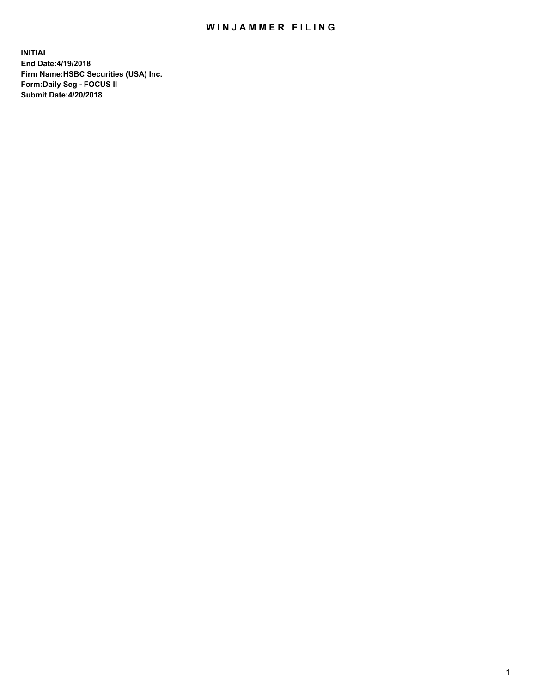## WIN JAMMER FILING

**INITIAL End Date:4/19/2018 Firm Name:HSBC Securities (USA) Inc. Form:Daily Seg - FOCUS II Submit Date:4/20/2018**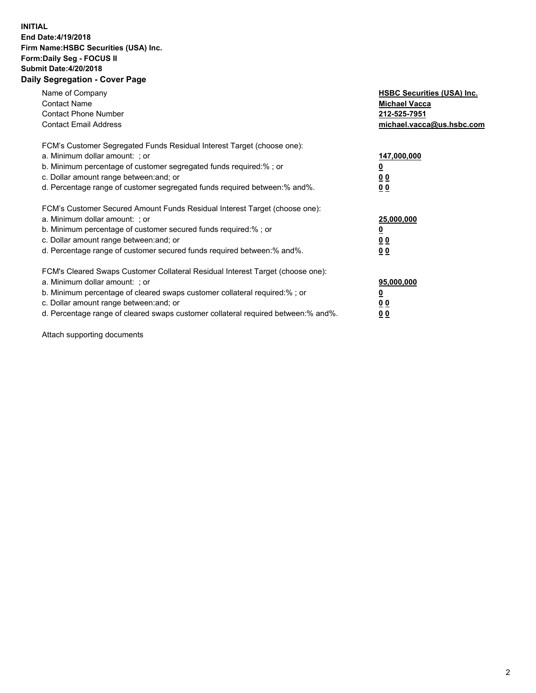## **INITIAL End Date:4/19/2018 Firm Name:HSBC Securities (USA) Inc. Form:Daily Seg - FOCUS II Submit Date:4/20/2018 Daily Segregation - Cover Page**

| Name of Company<br><b>Contact Name</b><br><b>Contact Phone Number</b><br><b>Contact Email Address</b>                                                                                                                                                                                                                         | <b>HSBC Securities (USA) Inc.</b><br><b>Michael Vacca</b><br>212-525-7951<br>michael.vacca@us.hsbc.com |
|-------------------------------------------------------------------------------------------------------------------------------------------------------------------------------------------------------------------------------------------------------------------------------------------------------------------------------|--------------------------------------------------------------------------------------------------------|
| FCM's Customer Segregated Funds Residual Interest Target (choose one):<br>a. Minimum dollar amount: ; or<br>b. Minimum percentage of customer segregated funds required:%; or<br>c. Dollar amount range between: and; or<br>d. Percentage range of customer segregated funds required between: % and %.                       | 147,000,000<br><u>0</u><br><u>00</u><br>00                                                             |
| FCM's Customer Secured Amount Funds Residual Interest Target (choose one):<br>a. Minimum dollar amount: ; or<br>b. Minimum percentage of customer secured funds required:%; or<br>c. Dollar amount range between: and; or<br>d. Percentage range of customer secured funds required between: % and %.                         | 25,000,000<br><u>0</u><br><u>00</u><br>00                                                              |
| FCM's Cleared Swaps Customer Collateral Residual Interest Target (choose one):<br>a. Minimum dollar amount: ; or<br>b. Minimum percentage of cleared swaps customer collateral required:%; or<br>c. Dollar amount range between: and; or<br>d. Percentage range of cleared swaps customer collateral required between:% and%. | 95,000,000<br><u>0</u><br><u>00</u><br><u>00</u>                                                       |

Attach supporting documents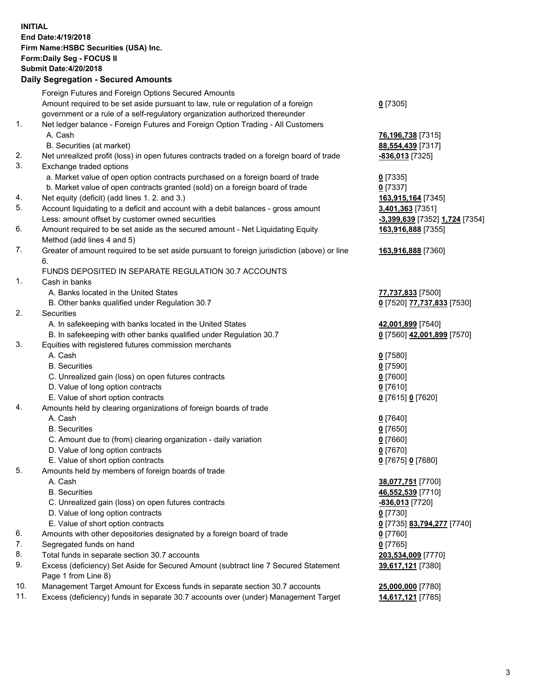**INITIAL End Date:4/19/2018 Firm Name:HSBC Securities (USA) Inc. Form:Daily Seg - FOCUS II Submit Date:4/20/2018 Daily Segregation - Secured Amounts** Foreign Futures and Foreign Options Secured Amounts Amount required to be set aside pursuant to law, rule or regulation of a foreign government or a rule of a self-regulatory organization authorized thereunder 1. Net ledger balance - Foreign Futures and Foreign Option Trading - All Customers A. Cash **76,196,738** [7315] B. Securities (at market) **88,554,439** [7317] 2. Net unrealized profit (loss) in open futures contracts traded on a foreign board of trade **-836,013** [7325] 3. Exchange traded options a. Market value of open option contracts purchased on a foreign board of trade **0** [7335] b. Market value of open contracts granted (sold) on a foreign board of trade **0** [7337] 4. Net equity (deficit) (add lines 1. 2. and 3.) **163,915,164** [7345] 5. Account liquidating to a deficit and account with a debit balances - gross amount **3,401,363** [7351] Less: amount offset by customer owned securities **-3,399,639** [7352] **1,724** [7354] 6. Amount required to be set aside as the secured amount - Net Liquidating Equity Method (add lines 4 and 5) 7. Greater of amount required to be set aside pursuant to foreign jurisdiction (above) or line 6. FUNDS DEPOSITED IN SEPARATE REGULATION 30.7 ACCOUNTS 1. Cash in banks A. Banks located in the United States **77,737,833** [7500]

- 
- B. Other banks qualified under Regulation 30.7 **0** [7520] **77,737,833** [7530]
- 2. Securities
	- A. In safekeeping with banks located in the United States **42,001,899** [7540]
	- B. In safekeeping with other banks qualified under Regulation 30.7 **0** [7560] **42,001,899** [7570]
- 3. Equities with registered futures commission merchants
	-
	-
	- C. Unrealized gain (loss) on open futures contracts **0** [7600]
	- D. Value of long option contracts **0** [7610]
	- E. Value of short option contracts **0** [7615] **0** [7620]
- 4. Amounts held by clearing organizations of foreign boards of trade
	-
	-
	- C. Amount due to (from) clearing organization daily variation **0** [7660]
	- D. Value of long option contracts **0** [7670]
	- E. Value of short option contracts **0** [7675] **0** [7680]
- 5. Amounts held by members of foreign boards of trade
	-
	-
	- C. Unrealized gain (loss) on open futures contracts **-836,013** [7720]
	- D. Value of long option contracts **0** [7730]
	- E. Value of short option contracts **0** [7735] **83,794,277** [7740]
- 6. Amounts with other depositories designated by a foreign board of trade **0** [7760]
- 7. Segregated funds on hand **0** [7765]
- 8. Total funds in separate section 30.7 accounts **203,534,009** [7770]
- 9. Excess (deficiency) Set Aside for Secured Amount (subtract line 7 Secured Statement Page 1 from Line 8)
- 10. Management Target Amount for Excess funds in separate section 30.7 accounts **25,000,000** [7780]
- 11. Excess (deficiency) funds in separate 30.7 accounts over (under) Management Target **14,617,121** [7785]
- **0** [7305]
- 
- **163,916,888** [7355]
- **163,916,888** [7360]
- 
- 
- A. Cash **0** [7580] B. Securities **0** [7590]
- A. Cash **0** [7640] B. Securities **0** [7650]
	-
- A. Cash **38,077,751** [7700] B. Securities **46,552,539** [7710]
	- **39,617,121** [7380]
	-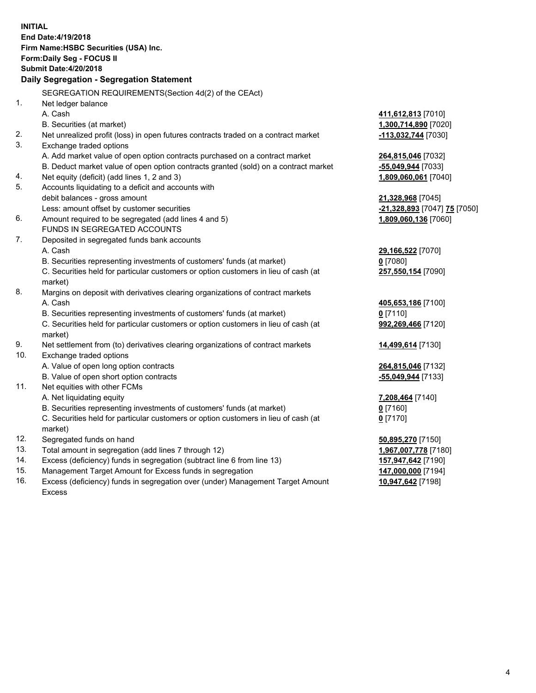| <b>INITIAL</b>                | End Date: 4/19/2018<br>Firm Name: HSBC Securities (USA) Inc.<br><b>Form:Daily Seg - FOCUS II</b><br><b>Submit Date:4/20/2018</b><br>Daily Segregation - Segregation Statement                                                                                                                               |                                            |
|-------------------------------|-------------------------------------------------------------------------------------------------------------------------------------------------------------------------------------------------------------------------------------------------------------------------------------------------------------|--------------------------------------------|
|                               | SEGREGATION REQUIREMENTS (Section 4d(2) of the CEAct)                                                                                                                                                                                                                                                       |                                            |
| 1.                            | Net ledger balance                                                                                                                                                                                                                                                                                          |                                            |
|                               | A. Cash                                                                                                                                                                                                                                                                                                     | 411,612,813 [7010]                         |
|                               | B. Securities (at market)                                                                                                                                                                                                                                                                                   | 1,300,714,890 [7020]                       |
| 2.                            | Net unrealized profit (loss) in open futures contracts traded on a contract market                                                                                                                                                                                                                          | -113,032,744 [7030]                        |
| 3.                            | Exchange traded options                                                                                                                                                                                                                                                                                     |                                            |
|                               | A. Add market value of open option contracts purchased on a contract market                                                                                                                                                                                                                                 | 264,815,046 [7032]                         |
|                               | B. Deduct market value of open option contracts granted (sold) on a contract market                                                                                                                                                                                                                         | -55,049,944 [7033]                         |
| 4.                            | Net equity (deficit) (add lines 1, 2 and 3)                                                                                                                                                                                                                                                                 | 1,809,060,061 [7040]                       |
| 5.                            | Accounts liquidating to a deficit and accounts with                                                                                                                                                                                                                                                         |                                            |
|                               | debit balances - gross amount                                                                                                                                                                                                                                                                               | 21,328,968 [7045]                          |
|                               | Less: amount offset by customer securities                                                                                                                                                                                                                                                                  | <u>-21,328,893</u> [7047] <u>75</u> [7050] |
| 6.                            | Amount required to be segregated (add lines 4 and 5)                                                                                                                                                                                                                                                        | 1,809,060,136 [7060]                       |
| 7.                            | <b>FUNDS IN SEGREGATED ACCOUNTS</b>                                                                                                                                                                                                                                                                         |                                            |
|                               | Deposited in segregated funds bank accounts<br>A. Cash                                                                                                                                                                                                                                                      | 29,166,522 [7070]                          |
|                               | B. Securities representing investments of customers' funds (at market)                                                                                                                                                                                                                                      | $0$ [7080]                                 |
|                               | C. Securities held for particular customers or option customers in lieu of cash (at                                                                                                                                                                                                                         | 257,550,154 [7090]                         |
|                               | market)                                                                                                                                                                                                                                                                                                     |                                            |
| 8.                            | Margins on deposit with derivatives clearing organizations of contract markets                                                                                                                                                                                                                              |                                            |
|                               | A. Cash                                                                                                                                                                                                                                                                                                     | 405,653,186 [7100]                         |
|                               | B. Securities representing investments of customers' funds (at market)                                                                                                                                                                                                                                      | 0 [7110]                                   |
|                               | C. Securities held for particular customers or option customers in lieu of cash (at                                                                                                                                                                                                                         | 992,269,466 [7120]                         |
|                               | market)                                                                                                                                                                                                                                                                                                     |                                            |
| 9.                            | Net settlement from (to) derivatives clearing organizations of contract markets                                                                                                                                                                                                                             | 14,499,614 [7130]                          |
| 10.                           | Exchange traded options                                                                                                                                                                                                                                                                                     |                                            |
|                               | A. Value of open long option contracts                                                                                                                                                                                                                                                                      | 264,815,046 [7132]                         |
|                               | B. Value of open short option contracts                                                                                                                                                                                                                                                                     | -55,049,944 [7133]                         |
| 11.                           | Net equities with other FCMs                                                                                                                                                                                                                                                                                |                                            |
|                               | A. Net liquidating equity                                                                                                                                                                                                                                                                                   | 7,208,464 [7140]                           |
|                               | B. Securities representing investments of customers' funds (at market)                                                                                                                                                                                                                                      | $0$ [7160]                                 |
|                               | C. Securities held for particular customers or option customers in lieu of cash (at<br>market)                                                                                                                                                                                                              | $0$ [7170]                                 |
| 12.                           | Segregated funds on hand                                                                                                                                                                                                                                                                                    | 50,895,270 [7150]                          |
| 13.                           | Total amount in segregation (add lines 7 through 12)                                                                                                                                                                                                                                                        | 1,967,007,778 [7180]                       |
| 14.                           | Excess (deficiency) funds in segregation (subtract line 6 from line 13)                                                                                                                                                                                                                                     | 157,947,642 [7190]                         |
| $\overline{A}$ $\overline{B}$ | $\mathbf{r}$ , $\mathbf{r}$ , $\mathbf{r}$ , $\mathbf{r}$ , $\mathbf{r}$ , $\mathbf{r}$ , $\mathbf{r}$ , $\mathbf{r}$ , $\mathbf{r}$ , $\mathbf{r}$ , $\mathbf{r}$ , $\mathbf{r}$ , $\mathbf{r}$ , $\mathbf{r}$ , $\mathbf{r}$ , $\mathbf{r}$ , $\mathbf{r}$ , $\mathbf{r}$ , $\mathbf{r}$ , $\mathbf{r}$ , | $1.1$ = AAA AAA 1710.17                    |

- 15. Management Target Amount for Excess funds in segregation **147,000,000** [7194]
- 16. Excess (deficiency) funds in segregation over (under) Management Target Amount Excess

**10,947,642** [7198]